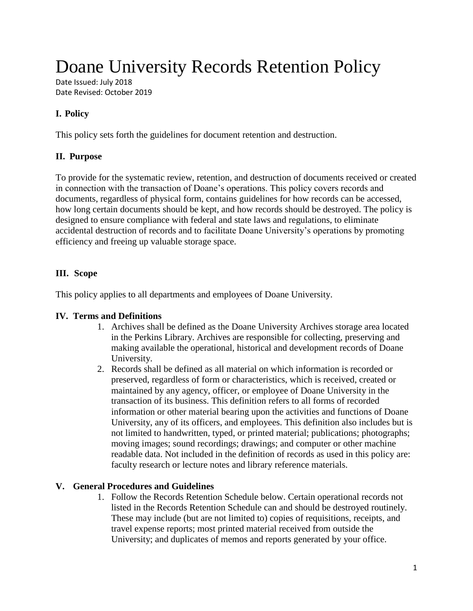# Doane University Records Retention Policy

Date Issued: July 2018 Date Revised: October 2019

## **I. Policy**

This policy sets forth the guidelines for document retention and destruction.

## **II. Purpose**

To provide for the systematic review, retention, and destruction of documents received or created in connection with the transaction of Doane's operations. This policy covers records and documents, regardless of physical form, contains guidelines for how records can be accessed, how long certain documents should be kept, and how records should be destroyed. The policy is designed to ensure compliance with federal and state laws and regulations, to eliminate accidental destruction of records and to facilitate Doane University's operations by promoting efficiency and freeing up valuable storage space.

# **III. Scope**

This policy applies to all departments and employees of Doane University.

## **IV. Terms and Definitions**

- 1. Archives shall be defined as the Doane University Archives storage area located in the Perkins Library. Archives are responsible for collecting, preserving and making available the operational, historical and development records of Doane University.
- 2. Records shall be defined as all material on which information is recorded or preserved, regardless of form or characteristics, which is received, created or maintained by any agency, officer, or employee of Doane University in the transaction of its business. This definition refers to all forms of recorded information or other material bearing upon the activities and functions of Doane University, any of its officers, and employees. This definition also includes but is not limited to handwritten, typed, or printed material; publications; photographs; moving images; sound recordings; drawings; and computer or other machine readable data. Not included in the definition of records as used in this policy are: faculty research or lecture notes and library reference materials.

#### **V. General Procedures and Guidelines**

1. Follow the Records Retention Schedule below. Certain operational records not listed in the Records Retention Schedule can and should be destroyed routinely. These may include (but are not limited to) copies of requisitions, receipts, and travel expense reports; most printed material received from outside the University; and duplicates of memos and reports generated by your office.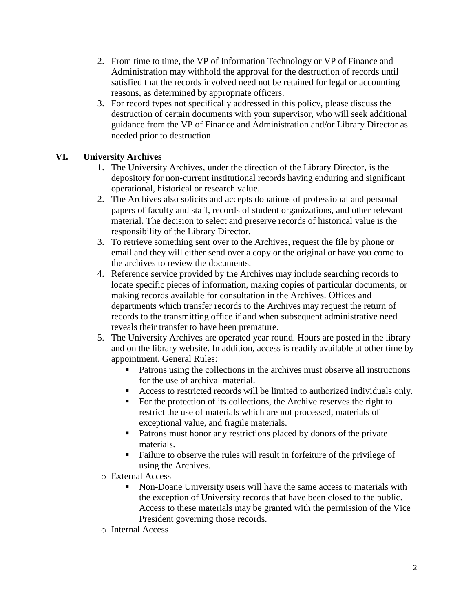- 2. From time to time, the VP of Information Technology or VP of Finance and Administration may withhold the approval for the destruction of records until satisfied that the records involved need not be retained for legal or accounting reasons, as determined by appropriate officers.
- 3. For record types not specifically addressed in this policy, please discuss the destruction of certain documents with your supervisor, who will seek additional guidance from the VP of Finance and Administration and/or Library Director as needed prior to destruction.

## **VI. University Archives**

- 1. The University Archives, under the direction of the Library Director, is the depository for non-current institutional records having enduring and significant operational, historical or research value.
- 2. The Archives also solicits and accepts donations of professional and personal papers of faculty and staff, records of student organizations, and other relevant material. The decision to select and preserve records of historical value is the responsibility of the Library Director.
- 3. To retrieve something sent over to the Archives, request the file by phone or email and they will either send over a copy or the original or have you come to the archives to review the documents.
- 4. Reference service provided by the Archives may include searching records to locate specific pieces of information, making copies of particular documents, or making records available for consultation in the Archives. Offices and departments which transfer records to the Archives may request the return of records to the transmitting office if and when subsequent administrative need reveals their transfer to have been premature.
- 5. The University Archives are operated year round. Hours are posted in the library and on the library website. In addition, access is readily available at other time by appointment. General Rules:
	- Patrons using the collections in the archives must observe all instructions for the use of archival material.
	- Access to restricted records will be limited to authorized individuals only.
	- For the protection of its collections, the Archive reserves the right to restrict the use of materials which are not processed, materials of exceptional value, and fragile materials.
	- Patrons must honor any restrictions placed by donors of the private materials.
	- Failure to observe the rules will result in forfeiture of the privilege of using the Archives.
- o External Access
	- Non-Doane University users will have the same access to materials with the exception of University records that have been closed to the public. Access to these materials may be granted with the permission of the Vice President governing those records.
- o Internal Access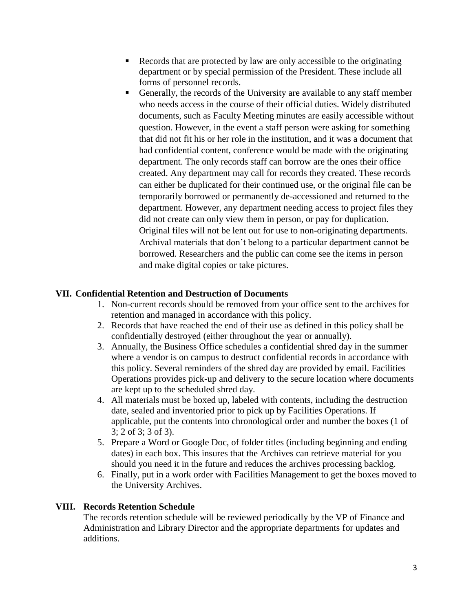- Records that are protected by law are only accessible to the originating department or by special permission of the President. These include all forms of personnel records.
- Generally, the records of the University are available to any staff member who needs access in the course of their official duties. Widely distributed documents, such as Faculty Meeting minutes are easily accessible without question. However, in the event a staff person were asking for something that did not fit his or her role in the institution, and it was a document that had confidential content, conference would be made with the originating department. The only records staff can borrow are the ones their office created. Any department may call for records they created. These records can either be duplicated for their continued use, or the original file can be temporarily borrowed or permanently de-accessioned and returned to the department. However, any department needing access to project files they did not create can only view them in person, or pay for duplication. Original files will not be lent out for use to non-originating departments. Archival materials that don't belong to a particular department cannot be borrowed. Researchers and the public can come see the items in person and make digital copies or take pictures.

#### **VII. Confidential Retention and Destruction of Documents**

- 1. Non-current records should be removed from your office sent to the archives for retention and managed in accordance with this policy.
- 2. Records that have reached the end of their use as defined in this policy shall be confidentially destroyed (either throughout the year or annually).
- 3. Annually, the Business Office schedules a confidential shred day in the summer where a vendor is on campus to destruct confidential records in accordance with this policy. Several reminders of the shred day are provided by email. Facilities Operations provides pick-up and delivery to the secure location where documents are kept up to the scheduled shred day.
- 4. All materials must be boxed up, labeled with contents, including the destruction date, sealed and inventoried prior to pick up by Facilities Operations. If applicable, put the contents into chronological order and number the boxes (1 of 3; 2 of 3; 3 of 3).
- 5. Prepare a Word or Google Doc, of folder titles (including beginning and ending dates) in each box. This insures that the Archives can retrieve material for you should you need it in the future and reduces the archives processing backlog.
- 6. Finally, put in a work order with Facilities Management to get the boxes moved to the University Archives.

#### **VIII. Records Retention Schedule**

The records retention schedule will be reviewed periodically by the VP of Finance and Administration and Library Director and the appropriate departments for updates and additions.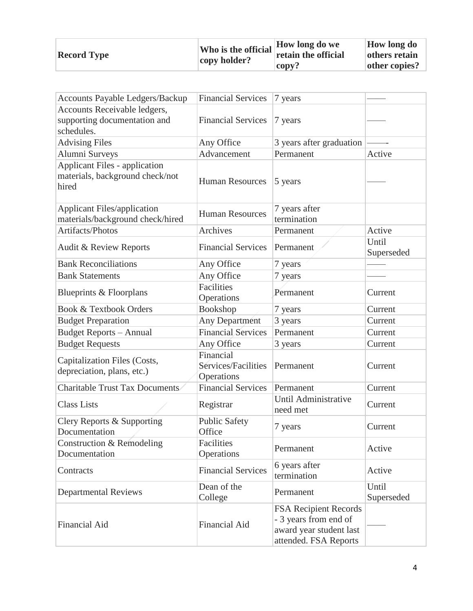| <b>Record Type</b> | Who is the official<br>copy holder? | How long do we<br>retain the official<br>$\mathbf{copy?}$ | <b>How long do</b><br>others retain<br>other copies? |
|--------------------|-------------------------------------|-----------------------------------------------------------|------------------------------------------------------|
|--------------------|-------------------------------------|-----------------------------------------------------------|------------------------------------------------------|

| <b>Accounts Payable Ledgers/Backup</b>                                           | <b>Financial Services</b>                      | 7 years                                                                                            |                     |
|----------------------------------------------------------------------------------|------------------------------------------------|----------------------------------------------------------------------------------------------------|---------------------|
| Accounts Receivable ledgers,<br>supporting documentation and<br>schedules.       | <b>Financial Services</b>                      | 7 years                                                                                            |                     |
| <b>Advising Files</b>                                                            | Any Office                                     | 3 years after graduation                                                                           |                     |
| Alumni Surveys                                                                   | Advancement                                    | Permanent                                                                                          | Active              |
| <b>Applicant Files - application</b><br>materials, background check/not<br>hired | <b>Human Resources</b>                         | 5 years                                                                                            |                     |
| <b>Applicant Files/application</b><br>materials/background check/hired           | <b>Human Resources</b>                         | 7 years after<br>termination                                                                       |                     |
| Artifacts/Photos                                                                 | Archives                                       | Permanent                                                                                          | Active              |
| <b>Audit &amp; Review Reports</b>                                                | <b>Financial Services</b>                      | Permanent                                                                                          | Until<br>Superseded |
| <b>Bank Reconciliations</b>                                                      | Any Office                                     | 7 years                                                                                            |                     |
| <b>Bank Statements</b>                                                           | Any Office                                     | 7 years                                                                                            |                     |
| Blueprints & Floorplans                                                          | Facilities<br>Operations                       | Permanent                                                                                          | Current             |
| <b>Book &amp; Textbook Orders</b>                                                | Bookshop                                       | 7 years                                                                                            | Current             |
| <b>Budget Preparation</b>                                                        | Any Department                                 | 3 years                                                                                            | Current             |
| <b>Budget Reports - Annual</b>                                                   | <b>Financial Services</b>                      | Permanent                                                                                          | Current             |
| <b>Budget Requests</b>                                                           | Any Office                                     | 3 years                                                                                            | Current             |
| Capitalization Files (Costs,<br>depreciation, plans, etc.)                       | Financial<br>Services/Facilities<br>Operations | Permanent                                                                                          | Current             |
| Charitable Trust Tax Documents                                                   | <b>Financial Services</b>                      | Permanent                                                                                          | Current             |
| <b>Class Lists</b>                                                               | Registrar                                      | Until Administrative<br>need met                                                                   | Current             |
| Clery Reports & Supporting<br>Documentation                                      | <b>Public Safety</b><br>Office                 | 7 years                                                                                            | Current             |
| Construction & Remodeling<br>Documentation                                       | Facilities<br>Operations                       | Permanent                                                                                          | Active              |
| Contracts                                                                        | <b>Financial Services</b>                      | 6 years after<br>termination                                                                       | Active              |
| <b>Departmental Reviews</b>                                                      | Dean of the<br>College                         | Permanent                                                                                          | Until<br>Superseded |
| <b>Financial Aid</b>                                                             | <b>Financial Aid</b>                           | FSA Recipient Records<br>- 3 years from end of<br>award year student last<br>attended. FSA Reports |                     |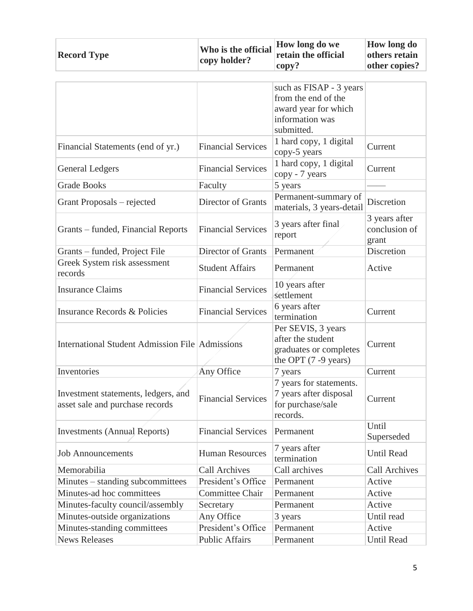| <b>Record Type</b>                                                     | Who is the official<br>copy holder? | How long do we<br>retain the official<br>copy?                                                          | How long do<br>others retain<br>other copies? |
|------------------------------------------------------------------------|-------------------------------------|---------------------------------------------------------------------------------------------------------|-----------------------------------------------|
|                                                                        |                                     | such as FISAP - 3 years<br>from the end of the<br>award year for which<br>information was<br>submitted. |                                               |
| Financial Statements (end of yr.)                                      | <b>Financial Services</b>           | 1 hard copy, 1 digital<br>copy-5 years                                                                  | Current                                       |
| <b>General Ledgers</b>                                                 | <b>Financial Services</b>           | 1 hard copy, 1 digital<br>copy - 7 years                                                                | Current                                       |
| <b>Grade Books</b>                                                     | Faculty                             | 5 years                                                                                                 |                                               |
| Grant Proposals – rejected                                             | Director of Grants                  | Permanent-summary of<br>materials, 3 years-detail                                                       | Discretion                                    |
| Grants – funded, Financial Reports                                     | <b>Financial Services</b>           | 3 years after final<br>report                                                                           | 3 years after<br>conclusion of<br>grant       |
| Grants – funded, Project File                                          | Director of Grants                  | Permanent                                                                                               | Discretion                                    |
| Greek System risk assessment<br>records                                | <b>Student Affairs</b>              | Permanent                                                                                               | Active                                        |
| <b>Insurance Claims</b>                                                | <b>Financial Services</b>           | 10 years after<br>settlement                                                                            |                                               |
| <b>Insurance Records &amp; Policies</b>                                | <b>Financial Services</b>           | 6 years after<br>termination                                                                            | Current                                       |
| International Student Admission File Admissions                        |                                     | Per SEVIS, 3 years<br>after the student<br>graduates or completes<br>the OPT $(7 - 9$ years)            | Current                                       |
| Inventories                                                            | Any Office                          | 7 years                                                                                                 | Current                                       |
| Investment statements, ledgers, and<br>asset sale and purchase records | <b>Financial Services</b>           | 7 years for statements.<br>7 years after disposal<br>for purchase/sale<br>records.                      | Current                                       |
| <b>Investments (Annual Reports)</b>                                    | <b>Financial Services</b>           | Permanent                                                                                               | Until<br>Superseded                           |
| <b>Job Announcements</b>                                               | <b>Human Resources</b>              | 7 years after<br>termination                                                                            | <b>Until Read</b>                             |
| Memorabilia                                                            | <b>Call Archives</b>                | Call archives                                                                                           | <b>Call Archives</b>                          |
| Minutes – standing subcommittees                                       | President's Office                  | Permanent                                                                                               | Active                                        |
| Minutes-ad hoc committees                                              | Committee Chair                     | Permanent                                                                                               | Active                                        |
| Minutes-faculty council/assembly                                       | Secretary                           | Permanent                                                                                               | Active                                        |
| Minutes-outside organizations                                          | Any Office                          | 3 years                                                                                                 | Until read                                    |
| Minutes-standing committees                                            | President's Office                  | Permanent                                                                                               | Active                                        |
| <b>News Releases</b>                                                   | <b>Public Affairs</b>               | Permanent                                                                                               | Until Read                                    |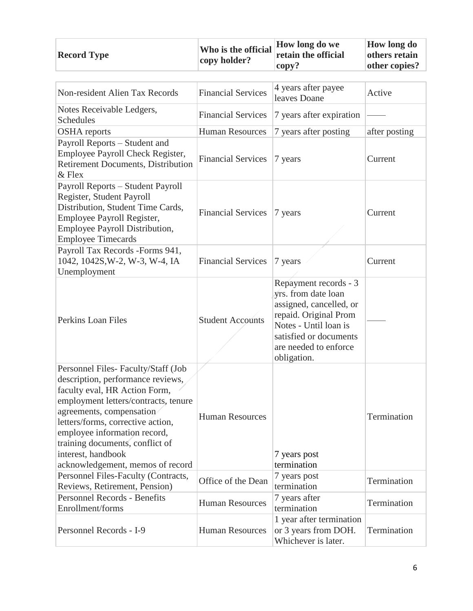| <b>Record Type</b>                                                                                                                                                                                                                                                                                                                             | Who is the official<br>copy holder? | How long do we<br>retain the official<br>copy?                                                                                                                                              | How long do<br>others retain<br>other copies? |
|------------------------------------------------------------------------------------------------------------------------------------------------------------------------------------------------------------------------------------------------------------------------------------------------------------------------------------------------|-------------------------------------|---------------------------------------------------------------------------------------------------------------------------------------------------------------------------------------------|-----------------------------------------------|
| Non-resident Alien Tax Records                                                                                                                                                                                                                                                                                                                 | <b>Financial Services</b>           | 4 years after payee<br>leaves Doane                                                                                                                                                         | Active                                        |
| Notes Receivable Ledgers,<br><b>Schedules</b>                                                                                                                                                                                                                                                                                                  | <b>Financial Services</b>           | 7 years after expiration                                                                                                                                                                    |                                               |
| <b>OSHA</b> reports                                                                                                                                                                                                                                                                                                                            | <b>Human Resources</b>              | 7 years after posting                                                                                                                                                                       | after posting                                 |
| Payroll Reports - Student and<br>Employee Payroll Check Register,<br>Retirement Documents, Distribution<br>& Flex                                                                                                                                                                                                                              | <b>Financial Services</b>           | 7 years                                                                                                                                                                                     | Current                                       |
| Payroll Reports - Student Payroll<br>Register, Student Payroll<br>Distribution, Student Time Cards,<br>Employee Payroll Register,<br>Employee Payroll Distribution,<br><b>Employee Timecards</b>                                                                                                                                               | <b>Financial Services</b>           | 7 years                                                                                                                                                                                     | Current                                       |
| Payroll Tax Records - Forms 941,<br>1042, 1042S, W-2, W-3, W-4, IA<br>Unemployment                                                                                                                                                                                                                                                             | <b>Financial Services</b>           | 7 years                                                                                                                                                                                     | Current                                       |
| Perkins Loan Files                                                                                                                                                                                                                                                                                                                             | <b>Student Accounts</b>             | Repayment records - 3<br>yrs. from date loan<br>assigned, cancelled, or<br>repaid. Original Prom<br>Notes - Until loan is<br>satisfied or documents<br>are needed to enforce<br>obligation. |                                               |
| Personnel Files-Faculty/Staff (Job<br>description, performance reviews,<br>faculty eval, HR Action Form,<br>employment letters/contracts, tenure<br>agreements, compensation<br>letters/forms, corrective action,<br>employee information record,<br>training documents, conflict of<br>interest, handbook<br>acknowledgement, memos of record | <b>Human Resources</b>              | 7 years post<br>termination                                                                                                                                                                 | Termination                                   |
| Personnel Files-Faculty (Contracts,<br>Reviews, Retirement, Pension)                                                                                                                                                                                                                                                                           | Office of the Dean                  | 7 years post<br>termination                                                                                                                                                                 | Termination                                   |
| Personnel Records - Benefits<br>Enrollment/forms                                                                                                                                                                                                                                                                                               | <b>Human Resources</b>              | 7 years after<br>termination                                                                                                                                                                | Termination                                   |
| Personnel Records - I-9                                                                                                                                                                                                                                                                                                                        | <b>Human Resources</b>              | 1 year after termination<br>or 3 years from DOH.<br>Whichever is later.                                                                                                                     | Termination                                   |